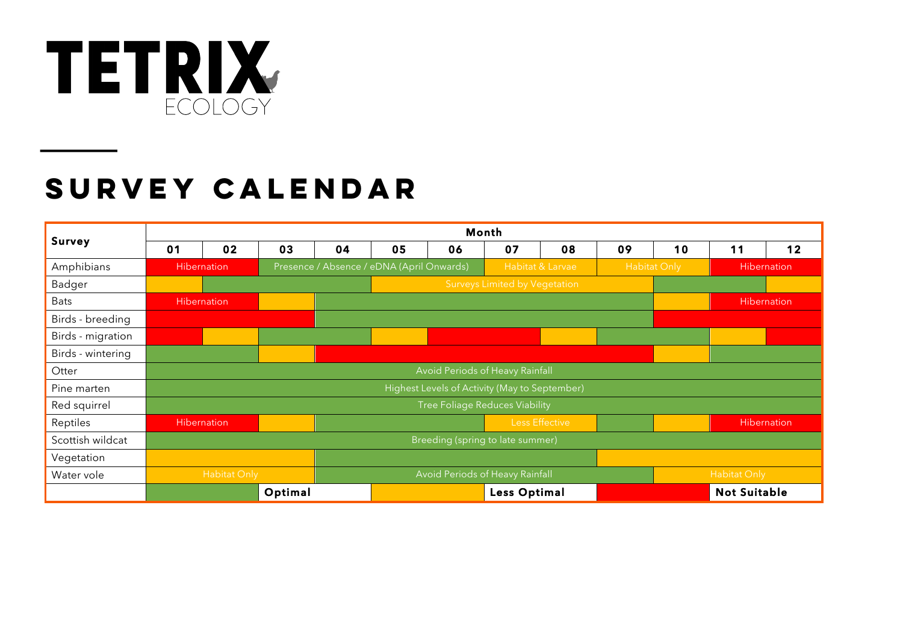

## **SURVEY CALENDAR**

| Survey            | Month                                         |                    |    |    |                                           |    |                                 |                |                     |                     |             |    |
|-------------------|-----------------------------------------------|--------------------|----|----|-------------------------------------------|----|---------------------------------|----------------|---------------------|---------------------|-------------|----|
|                   | 01                                            | 02                 | 03 | 04 | 05                                        | 06 | 07                              | 08             | 09                  | 10                  | 11          | 12 |
| Amphibians        | <b>Hibernation</b>                            |                    |    |    | Presence / Absence / eDNA (April Onwards) |    | Habitat & Larvae                |                | <b>Habitat Only</b> |                     | Hibernation |    |
| Badger            |                                               |                    |    |    |                                           |    | Surveys Limited by Vegetation   |                |                     |                     |             |    |
| <b>Bats</b>       | <b>Hibernation</b>                            |                    |    |    |                                           |    |                                 |                |                     | <b>Hibernation</b>  |             |    |
| Birds - breeding  |                                               |                    |    |    |                                           |    |                                 |                |                     |                     |             |    |
| Birds - migration |                                               |                    |    |    |                                           |    |                                 |                |                     |                     |             |    |
| Birds - wintering |                                               |                    |    |    |                                           |    |                                 |                |                     |                     |             |    |
| Otter             | Avoid Periods of Heavy Rainfall               |                    |    |    |                                           |    |                                 |                |                     |                     |             |    |
| Pine marten       | Highest Levels of Activity (May to September) |                    |    |    |                                           |    |                                 |                |                     |                     |             |    |
| Red squirrel      | <b>Tree Foliage Reduces Viability</b>         |                    |    |    |                                           |    |                                 |                |                     |                     |             |    |
| Reptiles          |                                               | <b>Hibernation</b> |    |    |                                           |    |                                 | Less Effective |                     |                     | Hibernation |    |
| Scottish wildcat  | Breeding (spring to late summer)              |                    |    |    |                                           |    |                                 |                |                     |                     |             |    |
| Vegetation        |                                               |                    |    |    |                                           |    |                                 |                |                     |                     |             |    |
| Water vole        |                                               | Habitat Only       |    |    |                                           |    | Avoid Periods of Heavy Rainfall |                |                     | Habitat Only        |             |    |
|                   | Optimal                                       |                    |    |    | <b>Less Optimal</b>                       |    |                                 |                |                     | <b>Not Suitable</b> |             |    |